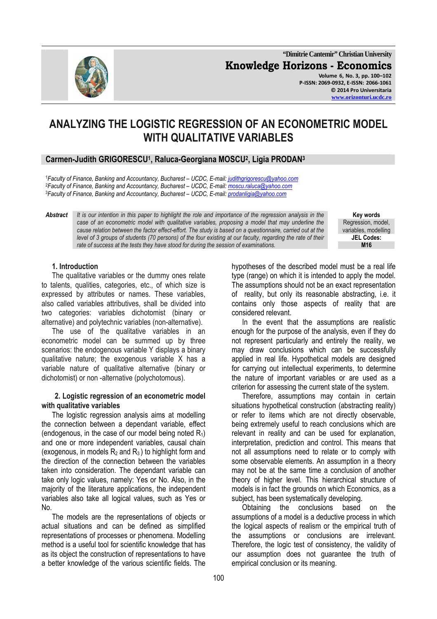

**"Dimitrie Cantemir" Christian University Knowledge Horizons - Economics Volume 6, No. 3, pp. 100–102 P-ISSN: 2069-0932, E-ISSN: 2066-1061 © 2014 Pro Universitaria www.orizonturi.ucdc.ro**

# **ANALYZING THE LOGISTIC REGRESSION OF AN ECONOMETRIC MODEL WITH QUALITATIVE VARIABLES**

## **Carmen-Judith GRIGORESCU<sup>1</sup> , Raluca-Georgiana MOSCU<sup>2</sup> , Ligia PRODAN<sup>3</sup>**

<sup>1</sup>*Faculty of Finance, Banking and Accountancy, Bucharest – UCDC, E-mail: judithgrigorescu@yahoo.com* <sup>2</sup>*Faculty of Finance, Banking and Accountancy, Bucharest – UCDC, E-mail: moscu.raluca@yahoo.com* <sup>3</sup>*Faculty of Finance, Banking and Accountancy, Bucharest – UCDC, E-mail: prodanligia@yahoo.com*

*Abstract It is our intention in this paper to highlight the role and importance of the regression analysis in the case of an econometric model with qualitative variables, proposing a model that may underline the cause relation between the factor effect-effort. The study is based on a questionnaire, carried out at the level of 3 groups of students (70 persons) of the four existing at our faculty, regarding the rate of their rate of success at the tests they have stood for during the session of examinations.* 

**Key words** Regression, model, variables, modelling **JEL Codes:**

#### **1. Introduction**

The qualitative variables or the dummy ones relate to talents, qualities, categories, etc., of which size is expressed by attributes or names. These variables, also called variables attributives, shall be divided into two categories: variables dichotomist (binary or alternative) and polytechnic variables (non-alternative).

The use of the qualitative variables in an econometric model can be summed up by three scenarios: the endogenous variable Y displays a binary qualitative nature; the exogenous variable X has a variable nature of qualitative alternative (binary or dichotomist) or non -alternative (polychotomous).

#### **2. Logistic regression of an econometric model with qualitative variables**

The logistic regression analysis aims at modelling the connection between a dependant variable, effect (endogenous, in the case of our model being noted  $R_1$ ) and one or more independent variables, causal chain (exogenous, in models  $R_2$  and  $R_3$ ) to highlight form and the direction of the connection between the variables taken into consideration. The dependant variable can take only logic values, namely: Yes or No. Also, in the majority of the literature applications, the independent variables also take all logical values, such as Yes or No.

The models are the representations of objects or actual situations and can be defined as simplified representations of processes or phenomena. Modelling method is a useful tool for scientific knowledge that has as its object the construction of representations to have a better knowledge of the various scientific fields. The hypotheses of the described model must be a real life type (range) on which it is intended to apply the model. The assumptions should not be an exact representation of reality, but only its reasonable abstracting, i.e. it contains only those aspects of reality that are considered relevant.

In the event that the assumptions are realistic enough for the purpose of the analysis, even if they do not represent particularly and entirely the reality, we may draw conclusions which can be successfully applied in real life. Hypothetical models are designed for carrying out intellectual experiments, to determine the nature of important variables or are used as a criterion for assessing the current state of the system.

Therefore, assumptions may contain in certain situations hypothetical construction (abstracting reality) or refer to items which are not directly observable, being extremely useful to reach conclusions which are relevant in reality and can be used for explanation, interpretation, prediction and control. This means that not all assumptions need to relate or to comply with some observable elements. An assumption in a theory may not be at the same time a conclusion of another theory of higher level. This hierarchical structure of models is in fact the grounds on which Economics, as a subject, has been systematically developing.

Obtaining the conclusions based on the assumptions of a model is a deductive process in which the logical aspects of realism or the empirical truth of the assumptions or conclusions are irrelevant. Therefore, the logic test of consistency, the validity of our assumption does not guarantee the truth of empirical conclusion or its meaning.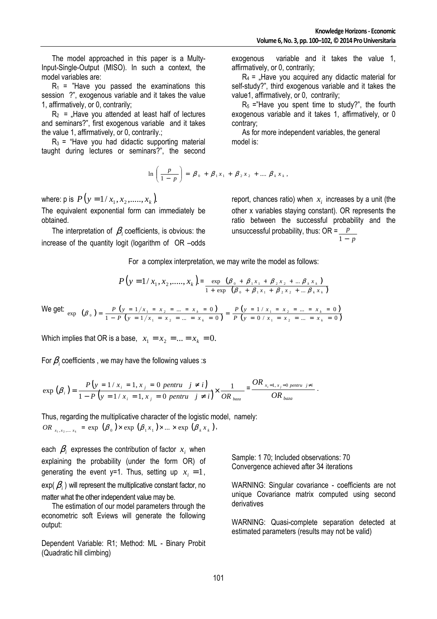The model approached in this paper is a Multy-Input-Single-Output (MISO). In such a context, the model variables are:

 $R_1$  = "Have you passed the examinations this session ?", exogenous variable and it takes the value 1, affirmatively, or 0, contrarily;

 $R_2$  = .Have you attended at least half of lectures and seminars?", first exogenous variable and it takes the value 1, affirmatively, or 0, contrarily.;

 $R_3$  = "Have you had didactic supporting material taught during lectures or seminars?", the second

$$
\ln\left(\frac{p}{1-p}\right) = \beta_0 + \beta_1 x_1 + \beta_2 x_2 + \dots + \beta_k x_k,
$$

where: p is  $P(y = 1 / x_1, x_2, \ldots, x_k)$ .

The equivalent exponential form can immediately be obtained.

The interpretation of  $\beta_i$  coefficients, is obvious: the increase of the quantity logit (logarithm of OR –odds

exogenous variable and it takes the value 1, affirmatively, or 0, contrarily;

 $R_4$  = "Have you acquired any didactic material for self-study?", third exogenous variable and it takes the value1, affirmatively, or 0, contrarily;

 $R<sub>5</sub>$  ="Have you spent time to study?", the fourth exogenous variable and it takes 1, affirmatively, or 0 contrary;

As for more independent variables, the general model is:

report, chances ratio) when  $x_i$  increases by a unit (the other x variables staying constant). OR represents the ratio between the successful probability and the unsuccessful probability, thus: OR = *p p* 1 −

*k*

For a complex interpretation, we may write the model as follows:

$$
P(y = 1 / x_1, x_2, \dots, x_k) = \frac{\exp\left(\beta_0 + \beta_1 x_1 + \beta_2 x_2 + \dots \beta_k x_k\right)}{1 + \exp\left(\beta_0 + \beta_1 x_1 + \beta_2 x_2 + \dots \beta_k x_k\right)}
$$

 $\frac{1}{1 - P\left(y = 1/x_1 = x_2 = ... = x_k = 0\right)} = \frac{1}{P\left(y = 0/x_1 = x_2 = ... = x_k = 0\right)}$  $\frac{P(y = 1/x_1 = x_2 = ... = x_k = 0)}{P(y = 1/x_1 = x_2 = ... = x_k = 0)} = \frac{P(y = 1/x_1 = x_2 = ... = x_k = 0)}{P(y = 0/x_1 = x_2 = ... = x_k = 0)}$  $=\frac{P(y=1/x_1=x_2=\dots=x_k=0)}{1-P(y=1/x_1=x_2=\dots=x_k=0)} = \frac{P(y=1/x_1=x_2=\dots=x_k)}{P(y=0/x_1=x_2=\dots=x_k)}$ 

*k*

We get:  $\exp\left(\beta_0\right) = \frac{P(y = 1/x_1 = x_2 = ... = x_k = 0)}{1 - P(y = 1/x_1 = x_2 = ... = x_k = 0)}$ 

Which implies that OR is a base,  $x_1 = x_2 = ... = x_k = 0$ .

 $\beta_0$  =  $\frac{P(y=1/x_1 = x_2 = ... = x_n)}{P(y=1/x_1 = x_2 = ... = x_n)}$ 

For  $\beta_i$  coefficients , we may have the following values :s

$$
\exp(\beta_i) = \frac{P(y = 1 / x_i = 1, x_j = 0 \text{ pentru } j \neq i)}{1 - P(y = 1 / x_i = 1, x_j = 0 \text{ pentru } j \neq i)} \times \frac{1}{OR_{baza}} = \frac{OR_{x_i = 1, x_j = 0 \text{ pentru } j \neq i}}{OR_{baza}}.
$$

exp  $(\beta_0) = \frac{P(y = 1/x_1 = x_2 = ... = x_k = 0)}{1 - P(y = 1/x_1 = x_2 = ... = x_k = 0)} = \frac{P(y = 1/x_1 = x_2)}{P(y = 0/x_1 = x_2)}$ 

 $1 - P(y = 1/x_1 = x_2 = ... = x_k = 0$ 

*P*  $(y = 1/x_1 = x_2 = ... = x_n$ 

 $1 - \lambda_2$ 

Thus, regarding the multiplicative character of the logistic model, namely:  $OR_{x_1, x_2, ..., x_k} = \exp (\beta_0) \times \exp (\beta_1 x_1) \times ... \times \exp (\beta_k x_k),$ 

each  $\beta_i$  expresses the contribution of factor  $x_i$  when explaining the probability (under the form OR) of generating the event y=1. Thus, setting up  $x_i = 1$ , exp(  $\beta_{_i}$  ) will represent the multiplicative constant factor, no matter what the other independent value may be.

The estimation of our model parameters through the econometric soft Eviews will generate the following output:

Dependent Variable: R1; Method: ML - Binary Probit (Quadratic hill climbing)

Sample: 1 70; Included observations: 70 Convergence achieved after 34 iterations

 $(y = 1 / x_1 = x_2 = ... = x_k = 0)$  $(y = 0 / x_1 = x_2 = ... = x_k = 0)$  $1 / x_1 = x_2 = ... = x_k = 0$ 

 $1 - \lambda_2$ 

*P* (*y* = 1 /  $x_1 = x_2 = ... = x_n$ 

 $\frac{1}{x_k} = 0$  *P*  $\left(y = 1/x_1 - x_2 - ... - x_n\right)$ <br> *P*  $\left(y = 0/x_1 = x_2 - ... = x_n\right)$ 

WARNING: Singular covariance - coefficients are not unique Covariance matrix computed using second derivatives

WARNING: Quasi-complete separation detected at estimated parameters (results may not be valid)